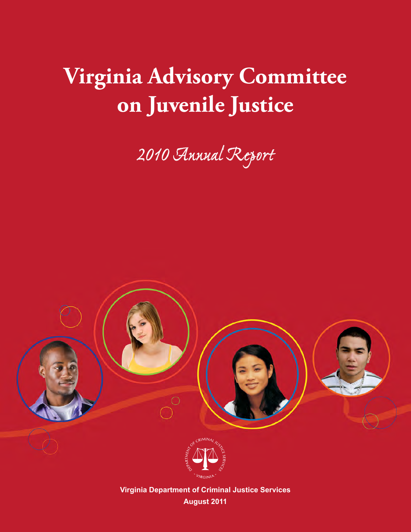# **Virginia Advisory Committee on Juvenile Justice**

*2010 Annual Report*





**Virginia Department of Criminal Justice Services August 2011**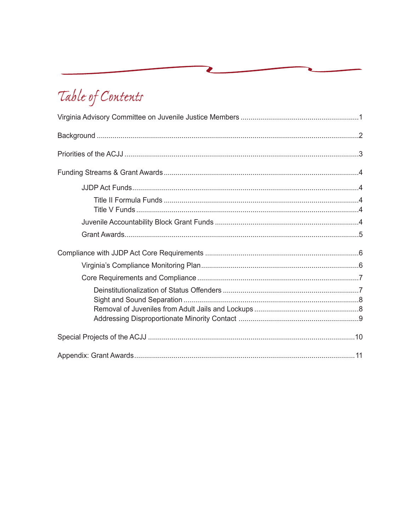## Table of Contents

Ø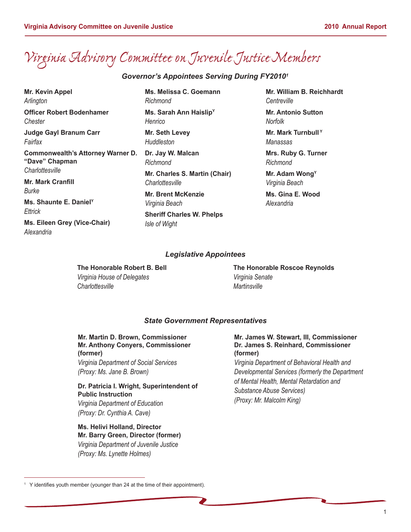## *Virginia Advisory Committee on Juvenile Justice Members*

#### *Governor's Appointees Serving During FY20101*

**Mr. Kevin Appel** *Arlington*  **Officer Robert Bodenhamer** *Chester* **Judge Gayl Branum Carr** *Fairfax* **Commonwealth's Attorney Warner D. "Dave" Chapman**  *Charlottesville* **Mr. Mark Cranfill**  *Burke* **Ms. Shaunte E. DanielY** *Ettrick* **Ms. Eileen Grey (Vice-Chair)**

*Alexandria*

**Ms. Melissa C. Goemann** *Richmond* **Ms. Sarah Ann HaislipY**

*Henrico*

**Mr. Seth Levey** *Huddleston*

**Dr. Jay W. Malcan** *Richmond* **Mr. Charles S. Martin (Chair)** *Charlottesville*

**Mr. Brent McKenzie** *Virginia Beach*

**Sheriff Charles W. Phelps**  *Isle of Wight*

**Mr. William B. Reichhardt** *Centreville*

**Mr. Antonio Sutton**  *Norfolk*

**Mr. Mark Turnbull<sup>Y</sup>** *Manassas*

**Mrs. Ruby G. Turner** *Richmond*

**Mr. Adam WongY** *Virginia Beach*

**Ms. Gina E. Wood** *Alexandria*

#### *Legislative Appointees*

**The Honorable Robert B. Bell** *Virginia House of Delegates Charlottesville*

**The Honorable Roscoe Reynolds** *Virginia Senate Martinsville*

#### *State Government Representatives*

**Mr. Martin D. Brown, Commissioner Mr. Anthony Conyers, Commissioner (former)** *Virginia Department of Social Services*

*(Proxy: Ms. Jane B. Brown)*

**Dr. Patricia I. Wright, Superintendent of Public Instruction** *Virginia Department of Education (Proxy: Dr. Cynthia A. Cave)* 

#### **Ms. Helivi Holland, Director Mr. Barry Green, Director (former)** *Virginia Department of Juvenile Justice (Proxy: Ms. Lynette Holmes)*

#### **Mr. James W. Stewart, III, Commissioner Dr. James S. Reinhard, Commissioner (former)**

*Virginia Department of Behavioral Health and Developmental Services (formerly the Department of Mental Health, Mental Retardation and Substance Abuse Services) (Proxy: Mr. Malcolm King)*

<sup>&</sup>lt;sup>1</sup> Y identifies youth member (younger than 24 at the time of their appointment).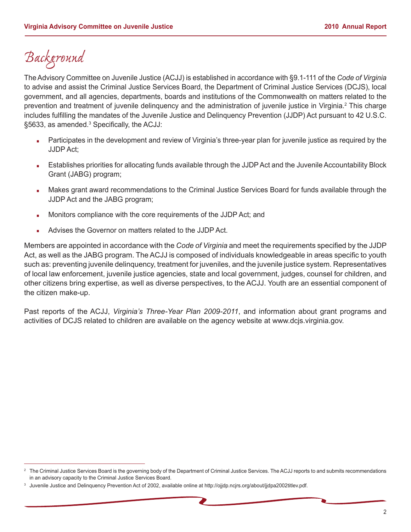## *Background*

The Advisory Committee on Juvenile Justice (ACJJ) is established in accordance with §9.1-111 of the *Code of Virginia* to advise and assist the Criminal Justice Services Board, the Department of Criminal Justice Services (DCJS), local government, and all agencies, departments, boards and institutions of the Commonwealth on matters related to the prevention and treatment of juvenile delinquency and the administration of juvenile justice in Virginia.<sup>2</sup> This charge includes fulfilling the mandates of the Juvenile Justice and Delinquency Prevention (JJDP) Act pursuant to 42 U.S.C. §5633, as amended.<sup>3</sup> Specifically, the ACJJ:

- Participates in the development and review of Virginia's three-year plan for juvenile justice as required by the JJDP Act;
- � Establishes priorities for allocating funds available through the JJDP Act and the Juvenile Accountability Block Grant (JABG) program;
- � Makes grant award recommendations to the Criminal Justice Services Board for funds available through the JJDP Act and the JABG program;
- � Monitors compliance with the core requirements of the JJDP Act; and
- � Advises the Governor on matters related to the JJDP Act.

Members are appointed in accordance with the *Code of Virginia* and meet the requirements specified by the JJDP Act, as well as the JABG program. The ACJJ is composed of individuals knowledgeable in areas specific to youth such as: preventing juvenile delinquency, treatment for juveniles, and the juvenile justice system. Representatives of local law enforcement, juvenile justice agencies, state and local government, judges, counsel for children, and other citizens bring expertise, as well as diverse perspectives, to the ACJJ. Youth are an essential component of the citizen make-up.

Past reports of the ACJJ, *Virginia's Three-Year Plan 2009-2011*, and information about grant programs and activities of DCJS related to children are available on the agency website at www.dcjs.virginia.gov.

<sup>&</sup>lt;sup>2</sup> The Criminal Justice Services Board is the governing body of the Department of Criminal Justice Services. The ACJJ reports to and submits recommendations in an advisory capacity to the Criminal Justice Services Board.

<sup>&</sup>lt;sup>3</sup> Juvenile Justice and Delinquency Prevention Act of 2002, available online at http://ojjdp.ncjrs.org/about/jjdpa2002titlev.pdf.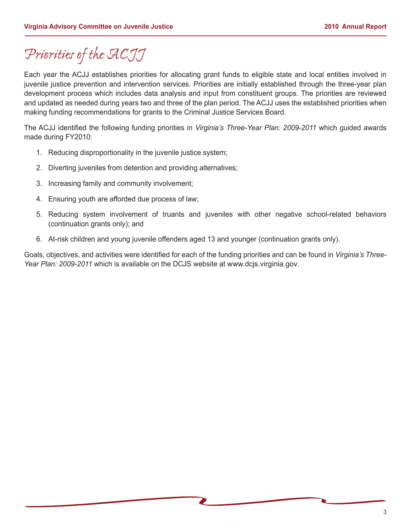## *Priorities of the ACJJ*

Each year the ACJJ establishes priorities for allocating grant funds to eligible state and local entities involved in juvenile justice prevention and intervention services. Priorities are initially established through the three-year plan development process which includes data analysis and input from constituent groups. The priorities are reviewed and updated as needed during years two and three of the plan period. The ACJJ uses the established priorities when making funding recommendations for grants to the Criminal Justice Services Board.

The ACJJ identified the following funding priorities in *Virginia's Three-Year Plan: 2009-2011* which guided awards made during FY2010:

- 1. Reducing disproportionality in the juvenile justice system;
- 2. Diverting juveniles from detention and providing alternatives;
- 3. Increasing family and community involvement;
- 4. Ensuring youth are afforded due process of law;
- 5. Reducing system involvement of truants and juveniles with other negative school-related behaviors (continuation grants only); and
- 6. At-risk children and young juvenile offenders aged 13 and younger (continuation grants only).

Goals, objectives, and activities were identified for each of the funding priorities and can be found in *Virginia's Three-Year Plan: 2009-2011* which is available on the DCJS website at www.dcjs.virginia.gov.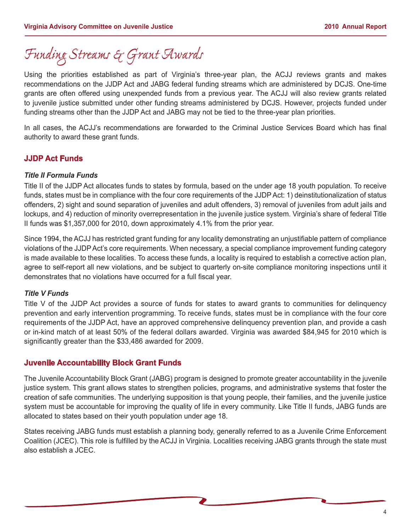### *Funding Streams & Grant Awards*

Using the priorities established as part of Virginia's three-year plan, the ACJJ reviews grants and makes recommendations on the JJDP Act and JABG federal funding streams which are administered by DCJS. One-time grants are often offered using unexpended funds from a previous year. The ACJJ will also review grants related to juvenile justice submitted under other funding streams administered by DCJS. However, projects funded under funding streams other than the JJDP Act and JABG may not be tied to the three-year plan priorities.

In all cases, the ACJJ's recommendations are forwarded to the Criminal Justice Services Board which has final authority to award these grant funds.

#### **JJDP Act Funds**

#### *Title II Formula Funds*

Title II of the JJDP Act allocates funds to states by formula, based on the under age 18 youth population. To receive funds, states must be in compliance with the four core requirements of the JJDP Act: 1) deinstitutionalization of status offenders, 2) sight and sound separation of juveniles and adult offenders, 3) removal of juveniles from adult jails and lockups, and 4) reduction of minority overrepresentation in the juvenile justice system. Virginia's share of federal Title II funds was \$1,357,000 for 2010, down approximately 4.1% from the prior year.

Since 1994, the ACJJ has restricted grant funding for any locality demonstrating an unjustifiable pattern of compliance violations of the JJDP Act's core requirements. When necessary, a special compliance improvement funding category is made available to these localities. To access these funds, a locality is required to establish a corrective action plan, agree to self-report all new violations, and be subject to quarterly on-site compliance monitoring inspections until it demonstrates that no violations have occurred for a full fiscal year.

#### *Title V Funds*

Title V of the JJDP Act provides a source of funds for states to award grants to communities for delinquency prevention and early intervention programming. To receive funds, states must be in compliance with the four core requirements of the JJDP Act, have an approved comprehensive delinquency prevention plan, and provide a cash or in-kind match of at least 50% of the federal dollars awarded. Virginia was awarded \$84,945 for 2010 which is significantly greater than the \$33,486 awarded for 2009.

#### **Juvenile Accountability Block Grant Funds**

The Juvenile Accountability Block Grant (JABG) program is designed to promote greater accountability in the juvenile justice system. This grant allows states to strengthen policies, programs, and administrative systems that foster the creation of safe communities. The underlying supposition is that young people, their families, and the juvenile justice system must be accountable for improving the quality of life in every community. Like Title II funds, JABG funds are allocated to states based on their youth population under age 18.

States receiving JABG funds must establish a planning body, generally referred to as a Juvenile Crime Enforcement Coalition (JCEC). This role is fulfilled by the ACJJ in Virginia. Localities receiving JABG grants through the state must also establish a JCEC.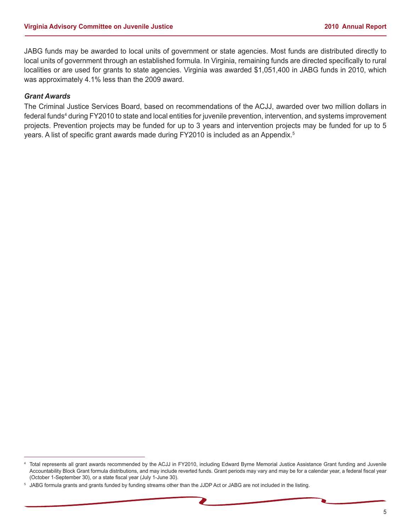JABG funds may be awarded to local units of government or state agencies. Most funds are distributed directly to local units of government through an established formula. In Virginia, remaining funds are directed specifically to rural localities or are used for grants to state agencies. Virginia was awarded \$1,051,400 in JABG funds in 2010, which was approximately 4.1% less than the 2009 award.

#### *Grant Awards*

The Criminal Justice Services Board, based on recommendations of the ACJJ, awarded over two million dollars in federal funds<sup>4</sup> during FY2010 to state and local entities for juvenile prevention, intervention, and systems improvement projects. Prevention projects may be funded for up to 3 years and intervention projects may be funded for up to 5 years. A list of specific grant awards made during FY2010 is included as an Appendix.<sup>5</sup>

<sup>4</sup> Total represents all grant awards recommended by the ACJJ in FY2010, including Edward Byrne Memorial Justice Assistance Grant funding and Juvenile Accountability Block Grant formula distributions, and may include reverted funds. Grant periods may vary and may be for a calendar year, a federal fiscal year (October 1-September 30), or a state fiscal year (July 1-June 30).

<sup>5</sup> JABG formula grants and grants funded by funding streams other than the JJDP Act or JABG are not included in the listing.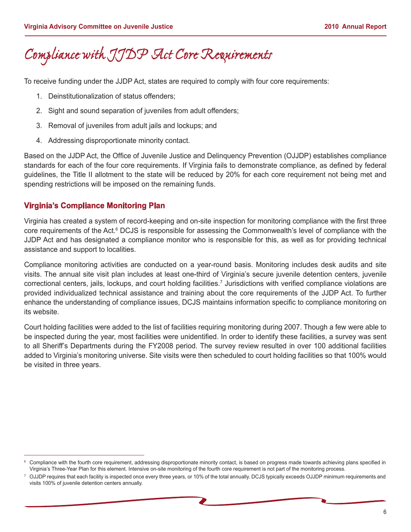### *Compliance with JJDP Act Core Requirements*

To receive funding under the JJDP Act, states are required to comply with four core requirements:

- 1. Deinstitutionalization of status offenders;
- 2. Sight and sound separation of juveniles from adult offenders;
- 3. Removal of juveniles from adult jails and lockups; and
- 4. Addressing disproportionate minority contact.

Based on the JJDP Act, the Office of Juvenile Justice and Delinquency Prevention (OJJDP) establishes compliance standards for each of the four core requirements. If Virginia fails to demonstrate compliance, as defined by federal guidelines, the Title II allotment to the state will be reduced by 20% for each core requirement not being met and spending restrictions will be imposed on the remaining funds.

#### **Virginia's Compliance Monitoring Plan**

Virginia has created a system of record-keeping and on-site inspection for monitoring compliance with the first three core requirements of the Act.<sup>6</sup> DCJS is responsible for assessing the Commonwealth's level of compliance with the JJDP Act and has designated a compliance monitor who is responsible for this, as well as for providing technical assistance and support to localities.

Compliance monitoring activities are conducted on a year-round basis. Monitoring includes desk audits and site visits. The annual site visit plan includes at least one-third of Virginia's secure juvenile detention centers, juvenile correctional centers, jails, lockups, and court holding facilities.7 Jurisdictions with verified compliance violations are provided individualized technical assistance and training about the core requirements of the JJDP Act. To further enhance the understanding of compliance issues, DCJS maintains information specific to compliance monitoring on its website.

Court holding facilities were added to the list of facilities requiring monitoring during 2007. Though a few were able to be inspected during the year, most facilities were unidentified. In order to identify these facilities, a survey was sent to all Sheriff's Departments during the FY2008 period. The survey review resulted in over 100 additional facilities added to Virginia's monitoring universe. Site visits were then scheduled to court holding facilities so that 100% would be visited in three years.

<sup>6</sup> Compliance with the fourth core requirement, addressing disproportionate minority contact, is based on progress made towards achieving plans specified in Virginia's Three-Year Plan for this element. Intensive on-site monitoring of the fourth core requirement is not part of the monitoring process.

<sup>7</sup> OJJDP requires that each facility is inspected once every three years, or 10% of the total annually. DCJS typically exceeds OJJDP minimum requirements and visits 100% of juvenile detention centers annually.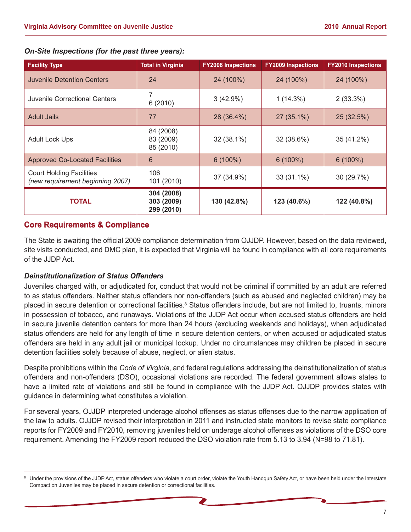| <b>Facility Type</b>                                                | <b>Total in Virginia</b>               | <b>FY2008 Inspections</b> | <b>FY2009 Inspections</b> | <b>FY2010 Inspections</b> |
|---------------------------------------------------------------------|----------------------------------------|---------------------------|---------------------------|---------------------------|
| Juvenile Detention Centers                                          | 24                                     | 24 (100%)                 | 24 (100%)                 | 24 (100%)                 |
| Juvenile Correctional Centers                                       | 7<br>6(2010)                           | $3(42.9\%)$               | $1(14.3\%)$               | 2(33.3%)                  |
| <b>Adult Jails</b>                                                  | 77                                     | 28 (36.4%)                | $27(35.1\%)$              | 25 (32.5%)                |
| <b>Adult Lock Ups</b>                                               | 84 (2008)<br>83 (2009)<br>85 (2010)    | 32 (38.1%)                | 32 (38.6%)                | 35 (41.2%)                |
| <b>Approved Co-Located Facilities</b>                               | 6                                      | $6(100\%)$                | $6(100\%)$                | $6(100\%)$                |
| <b>Court Holding Facilities</b><br>(new requirement beginning 2007) | 106<br>101 (2010)                      | 37 (34.9%)                | $33(31.1\%)$              | 30(29.7%)                 |
| <b>TOTAL</b>                                                        | 304 (2008)<br>303 (2009)<br>299 (2010) | 130 (42.8%)               | 123 (40.6%)               | 122 (40.8%)               |

#### *On-Site Inspections (for the past three years):*

#### **Core Requirements & Compliance**

The State is awaiting the official 2009 compliance determination from OJJDP. However, based on the data reviewed, site visits conducted, and DMC plan, it is expected that Virginia will be found in compliance with all core requirements of the JJDP Act.

#### *Deinstitutionalization of Status Offenders*

Juveniles charged with, or adjudicated for, conduct that would not be criminal if committed by an adult are referred to as status offenders. Neither status offenders nor non-offenders (such as abused and neglected children) may be placed in secure detention or correctional facilities.<sup>8</sup> Status offenders include, but are not limited to, truants, minors in possession of tobacco, and runaways. Violations of the JJDP Act occur when accused status offenders are held in secure juvenile detention centers for more than 24 hours (excluding weekends and holidays), when adjudicated status offenders are held for any length of time in secure detention centers, or when accused or adjudicated status offenders are held in any adult jail or municipal lockup. Under no circumstances may children be placed in secure detention facilities solely because of abuse, neglect, or alien status.

Despite prohibitions within the *Code of Virginia*, and federal regulations addressing the deinstitutionalization of status offenders and non-offenders (DSO), occasional violations are recorded. The federal government allows states to have a limited rate of violations and still be found in compliance with the JJDP Act. OJJDP provides states with guidance in determining what constitutes a violation.

For several years, OJJDP interpreted underage alcohol offenses as status offenses due to the narrow application of the law to adults. OJJDP revised their interpretation in 2011 and instructed state monitors to revise state compliance reports for FY2009 and FY2010, removing juveniles held on underage alcohol offenses as violations of the DSO core requirement. Amending the FY2009 report reduced the DSO violation rate from 5.13 to 3.94 (N=98 to 71.81).

<sup>8</sup> Under the provisions of the JJDP Act, status offenders who violate a court order, violate the Youth Handgun Safety Act, or have been held under the Interstate Compact on Juveniles may be placed in secure detention or correctional facilities.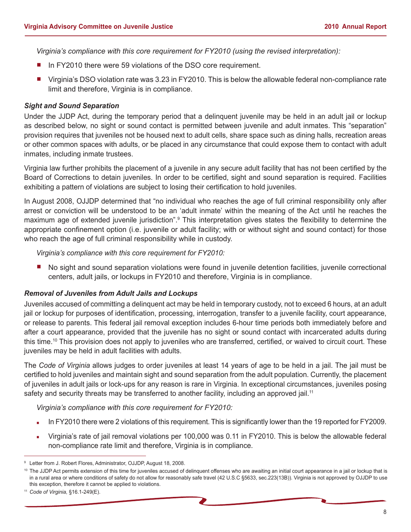*Virginia's compliance with this core requirement for FY2010 (using the revised interpretation):*

- In FY2010 there were 59 violations of the DSO core requirement.
- Virginia's DSO violation rate was 3.23 in FY2010. This is below the allowable federal non-compliance rate limit and therefore, Virginia is in compliance.

#### *Sight and Sound Separation*

Under the JJDP Act, during the temporary period that a delinquent juvenile may be held in an adult jail or lockup as described below, no sight or sound contact is permitted between juvenile and adult inmates. This "separation" provision requires that juveniles not be housed next to adult cells, share space such as dining halls, recreation areas or other common spaces with adults, or be placed in any circumstance that could expose them to contact with adult inmates, including inmate trustees.

Virginia law further prohibits the placement of a juvenile in any secure adult facility that has not been certified by the Board of Corrections to detain juveniles. In order to be certified, sight and sound separation is required. Facilities exhibiting a pattern of violations are subject to losing their certification to hold juveniles.

In August 2008, OJJDP determined that "no individual who reaches the age of full criminal responsibility only after arrest or conviction will be understood to be an 'adult inmate' within the meaning of the Act until he reaches the maximum age of extended juvenile jurisdiction".<sup>9</sup> This interpretation gives states the flexibility to determine the appropriate confinement option (i.e. juvenile or adult facility; with or without sight and sound contact) for those who reach the age of full criminal responsibility while in custody.

*Virginia's compliance with this core requirement for FY2010:*

No sight and sound separation violations were found in juvenile detention facilities, juvenile correctional centers, adult jails, or lockups in FY2010 and therefore, Virginia is in compliance.

#### *Removal of Juveniles from Adult Jails and Lockups*

Juveniles accused of committing a delinquent act may be held in temporary custody, not to exceed 6 hours, at an adult jail or lockup for purposes of identification, processing, interrogation, transfer to a juvenile facility, court appearance, or release to parents. This federal jail removal exception includes 6-hour time periods both immediately before and after a court appearance, provided that the juvenile has no sight or sound contact with incarcerated adults during this time.10 This provision does not apply to juveniles who are transferred, certified, or waived to circuit court. These juveniles may be held in adult facilities with adults.

The *Code of Virginia* allows judges to order juveniles at least 14 years of age to be held in a jail. The jail must be certified to hold juveniles and maintain sight and sound separation from the adult population. Currently, the placement of juveniles in adult jails or lock-ups for any reason is rare in Virginia. In exceptional circumstances, juveniles posing safety and security threats may be transferred to another facility, including an approved jail.<sup>11</sup>

*Virginia's compliance with this core requirement for FY2010:*

- In FY2010 there were 2 violations of this requirement. This is significantly lower than the 19 reported for FY2009.
- � Virginia's rate of jail removal violations per 100,000 was 0.11 in FY2010. This is below the allowable federal non-compliance rate limit and therefore, Virginia is in compliance.

<sup>9</sup> Letter from J. Robert Flores, Administrator, OJJDP, August 18, 2008.

<sup>&</sup>lt;sup>10</sup> The JJDP Act permits extension of this time for juveniles accused of delinquent offenses who are awaiting an initial court appearance in a jail or lockup that is in a rural area or where conditions of safety do not allow for reasonably safe travel (42 U.S.C §5633, sec.223(13B)). Virginia is not approved by OJJDP to use this exception, therefore it cannot be applied to violations.

<sup>11</sup> *Code of Virginia,* §16.1-249(E).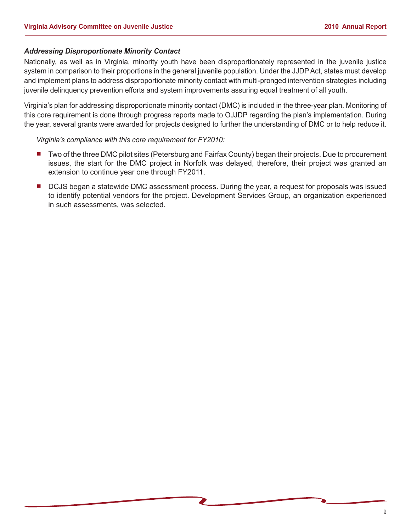#### *Addressing Disproportionate Minority Contact*

Nationally, as well as in Virginia, minority youth have been disproportionately represented in the juvenile justice system in comparison to their proportions in the general juvenile population. Under the JJDP Act, states must develop and implement plans to address disproportionate minority contact with multi-pronged intervention strategies including juvenile delinquency prevention efforts and system improvements assuring equal treatment of all youth.

Virginia's plan for addressing disproportionate minority contact (DMC) is included in the three-year plan. Monitoring of this core requirement is done through progress reports made to OJJDP regarding the plan's implementation. During the year, several grants were awarded for projects designed to further the understanding of DMC or to help reduce it.

*Virginia's compliance with this core requirement for FY2010:*

- Two of the three DMC pilot sites (Petersburg and Fairfax County) began their projects. Due to procurement issues, the start for the DMC project in Norfolk was delayed, therefore, their project was granted an extension to continue year one through FY2011.
- � DCJS began a statewide DMC assessment process. During the year, a request for proposals was issued to identify potential vendors for the project. Development Services Group, an organization experienced in such assessments, was selected.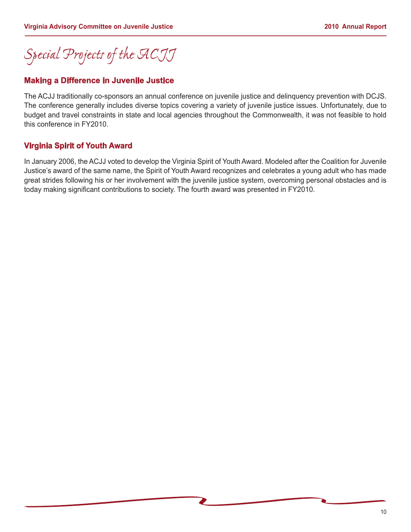## *Special Projects of the ACJJ*

#### **Making a Difference in Juvenile Justice**

The ACJJ traditionally co-sponsors an annual conference on juvenile justice and delinquency prevention with DCJS. The conference generally includes diverse topics covering a variety of juvenile justice issues. Unfortunately, due to budget and travel constraints in state and local agencies throughout the Commonwealth, it was not feasible to hold this conference in FY2010.

#### **Virginia Spirit of Youth Award**

In January 2006, the ACJJ voted to develop the Virginia Spirit of Youth Award. Modeled after the Coalition for Juvenile Justice's award of the same name, the Spirit of Youth Award recognizes and celebrates a young adult who has made great strides following his or her involvement with the juvenile justice system, overcoming personal obstacles and is today making significant contributions to society. The fourth award was presented in FY2010.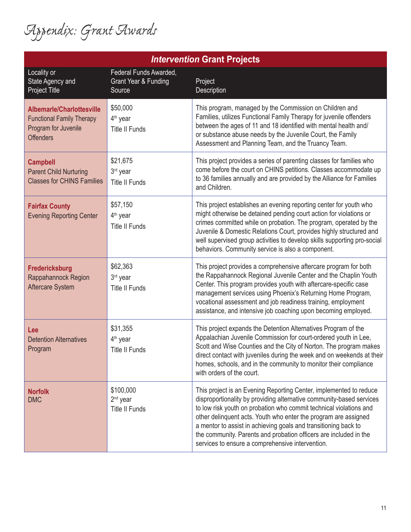*Appendix: Grant Awards*

| <i><b>Intervention Grant Projects</b></i>                                                                        |                                                                     |                                                                                                                                                                                                                                                                                                                                                                                                                                                                                 |  |
|------------------------------------------------------------------------------------------------------------------|---------------------------------------------------------------------|---------------------------------------------------------------------------------------------------------------------------------------------------------------------------------------------------------------------------------------------------------------------------------------------------------------------------------------------------------------------------------------------------------------------------------------------------------------------------------|--|
| Locality or<br>State Agency and<br><b>Project Title</b>                                                          | Federal Funds Awarded,<br><b>Grant Year &amp; Funding</b><br>Source | Project<br>Description                                                                                                                                                                                                                                                                                                                                                                                                                                                          |  |
| <b>Albemarle/Charlottesville</b><br><b>Functional Family Therapy</b><br>Program for Juvenile<br><b>Offenders</b> | \$50,000<br>4 <sup>th</sup> year<br><b>Title II Funds</b>           | This program, managed by the Commission on Children and<br>Families, utilizes Functional Family Therapy for juvenile offenders<br>between the ages of 11 and 18 identified with mental health and/<br>or substance abuse needs by the Juvenile Court, the Family<br>Assessment and Planning Team, and the Truancy Team.                                                                                                                                                         |  |
| <b>Campbell</b><br><b>Parent Child Nurturing</b><br><b>Classes for CHINS Families</b>                            | \$21,675<br>3rd year<br><b>Title II Funds</b>                       | This project provides a series of parenting classes for families who<br>come before the court on CHINS petitions. Classes accommodate up<br>to 36 families annually and are provided by the Alliance for Families<br>and Children.                                                                                                                                                                                                                                              |  |
| <b>Fairfax County</b><br><b>Evening Reporting Center</b>                                                         | \$57,150<br>4 <sup>th</sup> year<br><b>Title II Funds</b>           | This project establishes an evening reporting center for youth who<br>might otherwise be detained pending court action for violations or<br>crimes committed while on probation. The program, operated by the<br>Juvenile & Domestic Relations Court, provides highly structured and<br>well supervised group activities to develop skills supporting pro-social<br>behaviors. Community service is also a component.                                                           |  |
| Fredericksburg<br>Rappahannock Region<br><b>Aftercare System</b>                                                 | \$62,363<br>3rd year<br><b>Title II Funds</b>                       | This project provides a comprehensive aftercare program for both<br>the Rappahannock Regional Juvenile Center and the Chaplin Youth<br>Center. This program provides youth with aftercare-specific case<br>management services using Phoenix's Returning Home Program,<br>vocational assessment and job readiness training, employment<br>assistance, and intensive job coaching upon becoming employed.                                                                        |  |
| Lee<br><b>Detention Alternatives</b><br>Program                                                                  | \$31,355<br>4 <sup>th</sup> year<br><b>Title II Funds</b>           | This project expands the Detention Alternatives Program of the<br>Appalachian Juvenile Commission for court-ordered youth in Lee,<br>Scott and Wise Counties and the City of Norton. The program makes<br>direct contact with juveniles during the week and on weekends at their<br>homes, schools, and in the community to monitor their compliance<br>with orders of the court.                                                                                               |  |
| <b>Norfolk</b><br><b>DMC</b>                                                                                     | \$100,000<br>2 <sup>nd</sup> year<br><b>Title II Funds</b>          | This project is an Evening Reporting Center, implemented to reduce<br>disproportionality by providing alternative community-based services<br>to low risk youth on probation who commit technical violations and<br>other delinquent acts. Youth who enter the program are assigned<br>a mentor to assist in achieving goals and transitioning back to<br>the community. Parents and probation officers are included in the<br>services to ensure a comprehensive intervention. |  |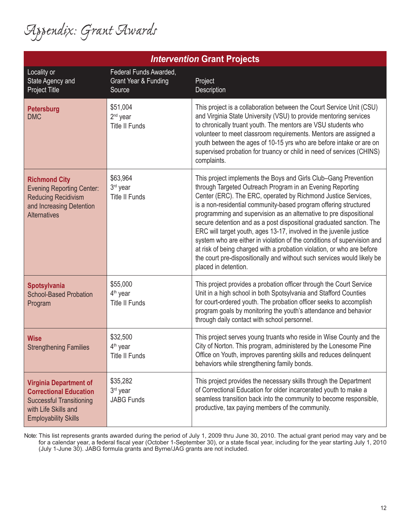*Appendix: Grant Awards*

| Locality or<br><b>State Agency and</b><br><b>Project Title</b>                                                                                           | Federal Funds Awarded,<br><b>Grant Year &amp; Funding</b><br>Source | Project<br>Description                                                                                                                                                                                                                                                                                                                                                                                                                                                                                                                                                                                                                                                                                                                         |  |
|----------------------------------------------------------------------------------------------------------------------------------------------------------|---------------------------------------------------------------------|------------------------------------------------------------------------------------------------------------------------------------------------------------------------------------------------------------------------------------------------------------------------------------------------------------------------------------------------------------------------------------------------------------------------------------------------------------------------------------------------------------------------------------------------------------------------------------------------------------------------------------------------------------------------------------------------------------------------------------------------|--|
| <b>Petersburg</b><br><b>DMC</b>                                                                                                                          | \$51,004<br>$2nd$ year<br><b>Title II Funds</b>                     | This project is a collaboration between the Court Service Unit (CSU)<br>and Virginia State University (VSU) to provide mentoring services<br>to chronically truant youth. The mentors are VSU students who<br>volunteer to meet classroom requirements. Mentors are assigned a<br>youth between the ages of 10-15 yrs who are before intake or are on<br>supervised probation for truancy or child in need of services (CHINS)<br>complaints.                                                                                                                                                                                                                                                                                                  |  |
| <b>Richmond City</b><br><b>Evening Reporting Center:</b><br><b>Reducing Recidivism</b><br>and Increasing Detention<br><b>Alternatives</b>                | \$63,964<br>3rd year<br><b>Title II Funds</b>                       | This project implements the Boys and Girls Club-Gang Prevention<br>through Targeted Outreach Program in an Evening Reporting<br>Center (ERC). The ERC, operated by Richmond Justice Services,<br>is a non-residential community-based program offering structured<br>programming and supervision as an alternative to pre dispositional<br>secure detention and as a post dispositional graduated sanction. The<br>ERC will target youth, ages 13-17, involved in the juvenile justice<br>system who are either in violation of the conditions of supervision and<br>at risk of being charged with a probation violation, or who are before<br>the court pre-dispositionally and without such services would likely be<br>placed in detention. |  |
| Spotsylvania<br><b>School-Based Probation</b><br>Program                                                                                                 | \$55,000<br>4 <sup>th</sup> year<br><b>Title II Funds</b>           | This project provides a probation officer through the Court Service<br>Unit in a high school in both Spotsylvania and Stafford Counties<br>for court-ordered youth. The probation officer seeks to accomplish<br>program goals by monitoring the youth's attendance and behavior<br>through daily contact with school personnel.                                                                                                                                                                                                                                                                                                                                                                                                               |  |
| <b>Wise</b><br><b>Strengthening Families</b>                                                                                                             | \$32,500<br>4 <sup>th</sup> year<br><b>Title II Funds</b>           | This project serves young truants who reside in Wise County and the<br>City of Norton. This program, administered by the Lonesome Pine<br>Office on Youth, improves parenting skills and reduces delinquent<br>behaviors while strengthening family bonds.                                                                                                                                                                                                                                                                                                                                                                                                                                                                                     |  |
| <b>Virginia Department of</b><br><b>Correctional Education</b><br><b>Successful Transitioning</b><br>with Life Skills and<br><b>Employability Skills</b> | \$35,282<br>3 <sup>rd</sup> year<br><b>JABG Funds</b>               | This project provides the necessary skills through the Department<br>of Correctional Education for older incarcerated youth to make a<br>seamless transition back into the community to become responsible,<br>productive, tax paying members of the community.                                                                                                                                                                                                                                                                                                                                                                                                                                                                                |  |

*Intervention* **Grant Projects**

Note: This list represents grants awarded during the period of July 1, 2009 thru June 30, 2010. The actual grant period may vary and be for a calendar year, a federal fiscal year (October 1-September 30), or a state fiscal year, including for the year starting July 1, 2010 (July 1-June 30). JABG formula grants and Byrne/JAG grants are not included.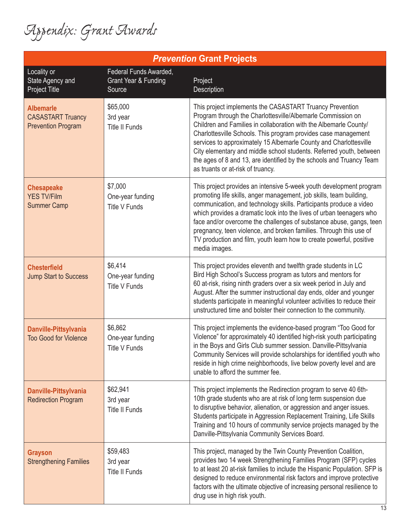*Appendix: Grant Awards*

| <b>Prevention Grant Projects</b>                                          |                                                                     |                                                                                                                                                                                                                                                                                                                                                                                                                                                                                                                                |  |
|---------------------------------------------------------------------------|---------------------------------------------------------------------|--------------------------------------------------------------------------------------------------------------------------------------------------------------------------------------------------------------------------------------------------------------------------------------------------------------------------------------------------------------------------------------------------------------------------------------------------------------------------------------------------------------------------------|--|
| Locality or<br>State Agency and<br><b>Project Title</b>                   | Federal Funds Awarded,<br><b>Grant Year &amp; Funding</b><br>Source | Project<br>Description                                                                                                                                                                                                                                                                                                                                                                                                                                                                                                         |  |
| <b>Albemarle</b><br><b>CASASTART Truancy</b><br><b>Prevention Program</b> | \$65,000<br>3rd year<br><b>Title II Funds</b>                       | This project implements the CASASTART Truancy Prevention<br>Program through the Charlottesville/Albemarle Commission on<br>Children and Families in collaboration with the Albemarle County/<br>Charlottesville Schools. This program provides case management<br>services to approximately 15 Albemarle County and Charlottesville<br>City elementary and middle school students. Referred youth, between<br>the ages of 8 and 13, are identified by the schools and Truancy Team<br>as truants or at-risk of truancy.        |  |
| <b>Chesapeake</b><br><b>YES TV/Film</b><br><b>Summer Camp</b>             | \$7,000<br>One-year funding<br><b>Title V Funds</b>                 | This project provides an intensive 5-week youth development program<br>promoting life skills, anger management, job skills, team building,<br>communication, and technology skills. Participants produce a video<br>which provides a dramatic look into the lives of urban teenagers who<br>face and/or overcome the challenges of substance abuse, gangs, teen<br>pregnancy, teen violence, and broken families. Through this use of<br>TV production and film, youth learn how to create powerful, positive<br>media images. |  |
| <b>Chesterfield</b><br><b>Jump Start to Success</b>                       | \$6,414<br>One-year funding<br><b>Title V Funds</b>                 | This project provides eleventh and twelfth grade students in LC<br>Bird High School's Success program as tutors and mentors for<br>60 at-risk, rising ninth graders over a six week period in July and<br>August. After the summer instructional day ends, older and younger<br>students participate in meaningful volunteer activities to reduce their<br>unstructured time and bolster their connection to the community.                                                                                                    |  |
| Danville-Pittsylvania<br><b>Too Good for Violence</b>                     | \$6,862<br>One-year funding<br><b>Title V Funds</b>                 | This project implements the evidence-based program "Too Good for<br>Violence" for approximately 40 identified high-risk youth participating<br>in the Boys and Girls Club summer session. Danville-Pittsylvania<br>Community Services will provide scholarships for identified youth who<br>reside in high crime neighborhoods, live below poverty level and are<br>unable to afford the summer fee.                                                                                                                           |  |
| Danville-Pittsylvania<br><b>Redirection Program</b>                       | \$62,941<br>3rd year<br><b>Title II Funds</b>                       | This project implements the Redirection program to serve 40 6th-<br>10th grade students who are at risk of long term suspension due<br>to disruptive behavior, alienation, or aggression and anger issues.<br>Students participate in Aggression Replacement Training, Life Skills<br>Training and 10 hours of community service projects managed by the<br>Danville-Pittsylvania Community Services Board.                                                                                                                    |  |
| <b>Grayson</b><br><b>Strengthening Families</b>                           | \$59,483<br>3rd year<br><b>Title II Funds</b>                       | This project, managed by the Twin County Prevention Coalition,<br>provides two 14 week Strengthening Families Program (SFP) cycles<br>to at least 20 at-risk families to include the Hispanic Population. SFP is<br>designed to reduce environmental risk factors and improve protective<br>factors with the ultimate objective of increasing personal resilience to<br>drug use in high risk youth.                                                                                                                           |  |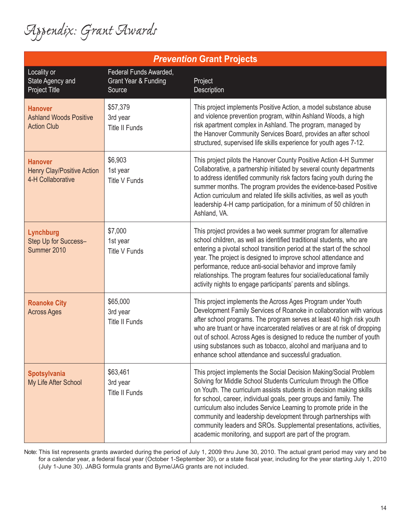*Appendix: Grant Awards*

| <b>Prevention Grant Projects</b>                                         |                                                          |                                                                                                                                                                                                                                                                                                                                                                                                                                                                                                                                                              |  |
|--------------------------------------------------------------------------|----------------------------------------------------------|--------------------------------------------------------------------------------------------------------------------------------------------------------------------------------------------------------------------------------------------------------------------------------------------------------------------------------------------------------------------------------------------------------------------------------------------------------------------------------------------------------------------------------------------------------------|--|
| Locality or<br>State Agency and<br><b>Project Title</b>                  | Federal Funds Awarded,<br>Grant Year & Funding<br>Source | Project<br>Description                                                                                                                                                                                                                                                                                                                                                                                                                                                                                                                                       |  |
| <b>Hanover</b><br><b>Ashland Woods Positive</b><br><b>Action Club</b>    | \$57,379<br>3rd year<br><b>Title II Funds</b>            | This project implements Positive Action, a model substance abuse<br>and violence prevention program, within Ashland Woods, a high<br>risk apartment complex in Ashland. The program, managed by<br>the Hanover Community Services Board, provides an after school<br>structured, supervised life skills experience for youth ages 7-12.                                                                                                                                                                                                                      |  |
| <b>Hanover</b><br><b>Henry Clay/Positive Action</b><br>4-H Collaborative | \$6,903<br>1st year<br><b>Title V Funds</b>              | This project pilots the Hanover County Positive Action 4-H Summer<br>Collaborative, a partnership initiated by several county departments<br>to address identified community risk factors facing youth during the<br>summer months. The program provides the evidence-based Positive<br>Action curriculum and related life skills activities, as well as youth<br>leadership 4-H camp participation, for a minimum of 50 children in<br>Ashland, VA.                                                                                                         |  |
| Lynchburg<br>Step Up for Success-<br>Summer 2010                         | \$7,000<br>1st year<br><b>Title V Funds</b>              | This project provides a two week summer program for alternative<br>school children, as well as identified traditional students, who are<br>entering a pivotal school transition period at the start of the school<br>year. The project is designed to improve school attendance and<br>performance, reduce anti-social behavior and improve family<br>relationships. The program features four social/educational family<br>activity nights to engage participants' parents and siblings.                                                                    |  |
| <b>Roanoke City</b><br><b>Across Ages</b>                                | \$65,000<br>3rd year<br><b>Title II Funds</b>            | This project implements the Across Ages Program under Youth<br>Development Family Services of Roanoke in collaboration with various<br>after school programs. The program serves at least 40 high risk youth<br>who are truant or have incarcerated relatives or are at risk of dropping<br>out of school. Across Ages is designed to reduce the number of youth<br>using substances such as tobacco, alcohol and marijuana and to<br>enhance school attendance and successful graduation.                                                                   |  |
| Spotsylvania<br>My Life After School                                     | \$63,461<br>3rd year<br>Title II Funds                   | This project implements the Social Decision Making/Social Problem<br>Solving for Middle School Students Curriculum through the Office<br>on Youth. The curriculum assists students in decision making skills<br>for school, career, individual goals, peer groups and family. The<br>curriculum also includes Service Learning to promote pride in the<br>community and leadership development through partnerships with<br>community leaders and SROs. Supplemental presentations, activities,<br>academic monitoring, and support are part of the program. |  |

Note: This list represents grants awarded during the period of July 1, 2009 thru June 30, 2010. The actual grant period may vary and be for a calendar year, a federal fiscal year (October 1-September 30), or a state fiscal year, including for the year starting July 1, 2010 (July 1-June 30). JABG formula grants and Byrne/JAG grants are not included.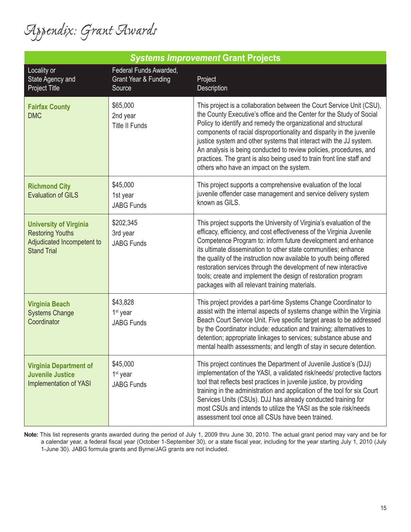*Appendix: Grant Awards*

| <b>Systems Improvement Grant Projects</b>                                                                    |                                                          |                                                                                                                                                                                                                                                                                                                                                                                                                                                                                                                                                            |  |
|--------------------------------------------------------------------------------------------------------------|----------------------------------------------------------|------------------------------------------------------------------------------------------------------------------------------------------------------------------------------------------------------------------------------------------------------------------------------------------------------------------------------------------------------------------------------------------------------------------------------------------------------------------------------------------------------------------------------------------------------------|--|
| Locality or<br>State Agency and<br>Project Title                                                             | Federal Funds Awarded,<br>Grant Year & Funding<br>Source | Project<br>Description                                                                                                                                                                                                                                                                                                                                                                                                                                                                                                                                     |  |
| <b>Fairfax County</b><br><b>DMC</b>                                                                          | \$65,000<br>2nd year<br><b>Title II Funds</b>            | This project is a collaboration between the Court Service Unit (CSU),<br>the County Executive's office and the Center for the Study of Social<br>Policy to identify and remedy the organizational and structural<br>components of racial disproportionality and disparity in the juvenile<br>justice system and other systems that interact with the JJ system.<br>An analysis is being conducted to review policies, procedures, and<br>practices. The grant is also being used to train front line staff and<br>others who have an impact on the system. |  |
| <b>Richmond City</b><br><b>Evaluation of GILS</b>                                                            | \$45,000<br>1st year<br><b>JABG Funds</b>                | This project supports a comprehensive evaluation of the local<br>juvenile offender case management and service delivery system<br>known as GILS.                                                                                                                                                                                                                                                                                                                                                                                                           |  |
| <b>University of Virginia</b><br><b>Restoring Youths</b><br>Adjudicated Incompetent to<br><b>Stand Trial</b> | \$202,345<br>3rd year<br><b>JABG Funds</b>               | This project supports the University of Virginia's evaluation of the<br>efficacy, efficiency, and cost effectiveness of the Virginia Juvenile<br>Competence Program to: inform future development and enhance<br>its ultimate dissemination to other state communities; enhance<br>the quality of the instruction now available to youth being offered<br>restoration services through the development of new interactive<br>tools; create and implement the design of restoration program<br>packages with all relevant training materials.               |  |
| <b>Virginia Beach</b><br><b>Systems Change</b><br>Coordinator                                                | \$43,828<br>1 <sup>st</sup> year<br><b>JABG Funds</b>    | This project provides a part-time Systems Change Coordinator to<br>assist with the internal aspects of systems change within the Virginia<br>Beach Court Service Unit. Five specific target areas to be addressed<br>by the Coordinator include: education and training; alternatives to<br>detention; appropriate linkages to services; substance abuse and<br>mental health assessments; and length of stay in secure detention.                                                                                                                         |  |
| <b>Virginia Department of</b><br><b>Juvenile Justice</b><br><b>Implementation of YASI</b>                    | \$45,000<br>1 <sup>st</sup> year<br><b>JABG Funds</b>    | This project continues the Department of Juvenile Justice's (DJJ)<br>implementation of the YASI, a validated risk/needs/ protective factors<br>tool that reflects best practices in juvenile justice, by providing<br>training in the administration and application of the tool for six Court<br>Services Units (CSUs). DJJ has already conducted training for<br>most CSUs and intends to utilize the YASI as the sole risk/needs<br>assessment tool once all CSUs have been trained.                                                                    |  |

**Note:** This list represents grants awarded during the period of July 1, 2009 thru June 30, 2010. The actual grant period may vary and be for a calendar year, a federal fiscal year (October 1-September 30), or a state fiscal year, including for the year starting July 1, 2010 (July 1-June 30). JABG formula grants and Byrne/JAG grants are not included.